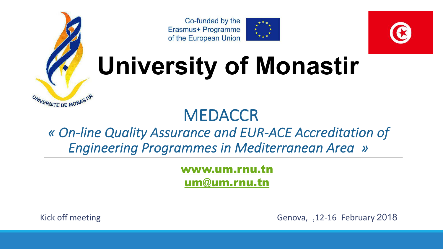





## **University of Monastir**

#### **MEDACCR** *« On-line Quality Assurance and EUR-ACE Accreditation of Engineering Programmes in Mediterranean Area »*

[www.um.rnu.tn](http://www.um.rnu.tn/) [um@um.rnu.tn](mailto:um@um.rnu.tn)

UNIVERSITE DE MONASTÍ

Kick off meeting Genova, , 12-16 February 2018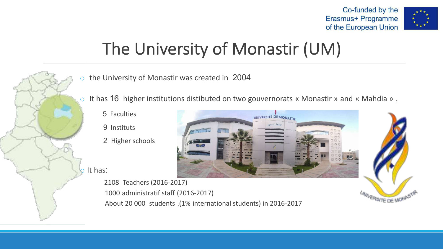



## The University of Monastir (UM)

- the University of Monastir was created in 2004
- o It has 16 higher institutions distibuted on two gouvernorats « Monastir » and « Mahdia » ,
	- 5 Faculties
	- 9 Instituts
	- 2 Higher schools

 $\circ$  It has:



2108 Teachers (2016-2017) 1000 administratif staff (2016-2017) About 20 000 students , (1% international students) in 2016-2017

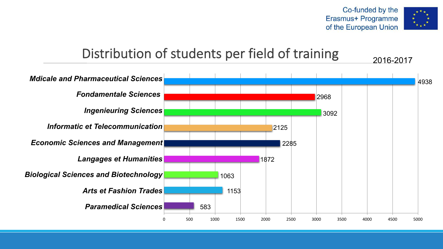

#### Distribution of students per field of training

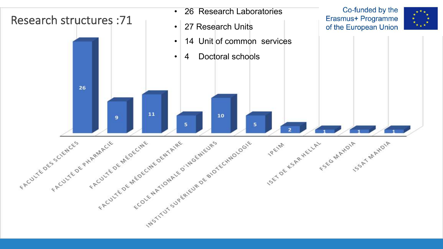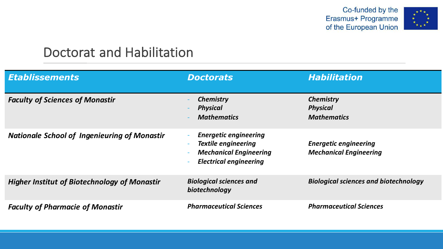Co-funded by the Erasmus+ Programme of the European Union



#### Doctorat and Habilitation

| <b>Etablissements</b>                               | <b>Doctorats</b>                                                                                                                                                                     | <b>Habilitation</b>                                           |
|-----------------------------------------------------|--------------------------------------------------------------------------------------------------------------------------------------------------------------------------------------|---------------------------------------------------------------|
| <b>Faculty of Sciences of Monastir</b>              | <b>Chemistry</b><br><b>Physical</b><br><b>Mathematics</b>                                                                                                                            | <b>Chemistry</b><br><b>Physical</b><br><b>Mathematics</b>     |
| <b>Nationale School of Ingenieuring of Monastir</b> | <b>Energetic engineering</b><br>$\overline{\phantom{a}}$<br><b>Textile engineering</b><br><b>Mechanical Engineering</b><br>$\overline{\phantom{a}}$<br><b>Electrical engineering</b> | <b>Energetic engineering</b><br><b>Mechanical Engineering</b> |
| <b>Higher Institut of Biotechnology of Monastir</b> | <b>Biological sciences and</b><br>biotechnology                                                                                                                                      | <b>Biological sciences and biotechnology</b>                  |
| <b>Faculty of Pharmacie of Monastir</b>             | <b>Pharmaceutical Sciences</b>                                                                                                                                                       | <b>Pharmaceutical Sciences</b>                                |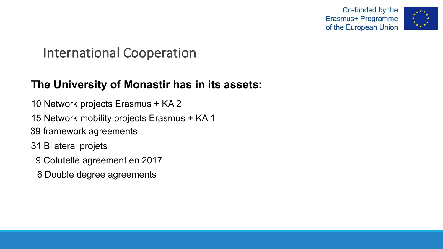Co-funded by the Erasmus+ Programme of the European Union



#### International Cooperation

#### **The University of Monastir has in its assets:**

- 10 Network projects Erasmus + KA 2
- 15 Network mobility projects Erasmus + KA 1
- 39 framework agreements
- 31 Bilateral projets
	- 9 Cotutelle agreement en 2017
	- 6 Double degree agreements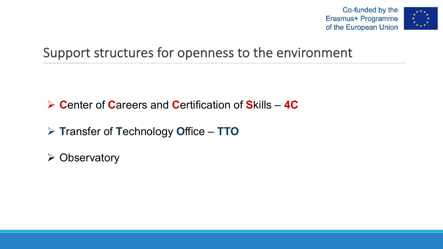

#### Support structures for openness to the environment

Ø **C**enter of **C**areers and **C**ertification of **S**kills – **4C**

Ø **T**ransfer of **T**echnology **O**ffice – **TTO**

 $\triangleright$  Observatory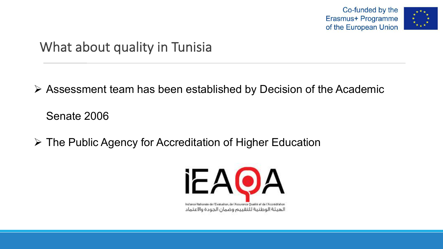



#### What about quality in Tunisia

 $\triangleright$  Assessment team has been established by Decision of the Academic

Senate 2006

Ø The Public Agency for Accreditation of Higher Education

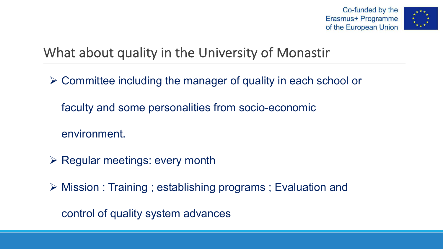



#### What about quality in the University of Monastir

- $\triangleright$  Committee including the manager of quality in each school or
	- faculty and some personalities from socio-economic
	- environment.
- $\triangleright$  Regular meetings: every month
- $\triangleright$  Mission : Training ; establishing programs ; Evaluation and

control of quality system advances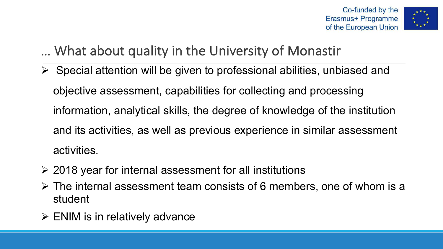



#### … What about quality in the University of Monastir

- $\triangleright$  Special attention will be given to professional abilities, unbiased and objective assessment, capabilities for collecting and processing information, analytical skills, the degree of knowledge of the institution and its activities, as well as previous experience in similar assessment activities.
- $\geq$  2018 year for internal assessment for all institutions
- $\triangleright$  The internal assessment team consists of 6 members, one of whom is a student
- $\triangleright$  ENIM is in relatively advance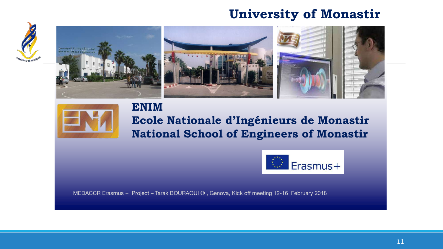#### **University of Monastir**







### **ENIM**

#### **Ecole Nationale d'Ingénieurs de Monastir National School of Engineers of Monastir**



MEDACCR Erasmus + Project – Tarak BOURAOUI © , Genova, Kick off meeting 12-16 February 2018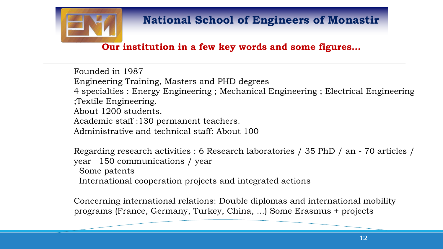

#### **National School of Engineers of Monastir**

#### **Our institution in a few key words and some figures…**

Founded in 1987 Engineering Training, Masters and PHD degrees 4 specialties : Energy Engineering ; Mechanical Engineering ; Electrical Engineering ;Textile Engineering. About 1200 students. Academic staff :130 permanent teachers. Administrative and technical staff: About 100

Regarding research activities : 6 Research laboratories / 35 PhD / an - 70 articles / year 150 communications / year

Some patents

International cooperation projects and integrated actions

Concerning international relations: Double diplomas and international mobility programs (France, Germany, Turkey, China, ...) Some Erasmus + projects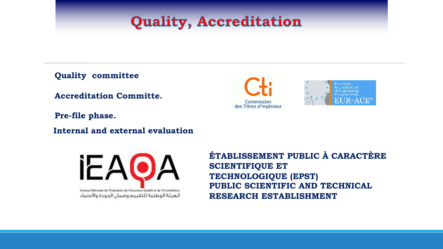#### **Quality, Accreditation**

**Quality committee** 

**Accreditation Committe.**

**Pre-file phase.**

**Internal and external evaluation**



**ÉTABLISSEMENT PUBLIC À CARACTÈRE SCIENTIFIQUE ET TECHNOLOGIQUE (EPST) PUBLIC SCIENTIFIC AND TECHNICAL RESEARCH ESTABLISHMENT**

Commission des Titres d'Ingénieur